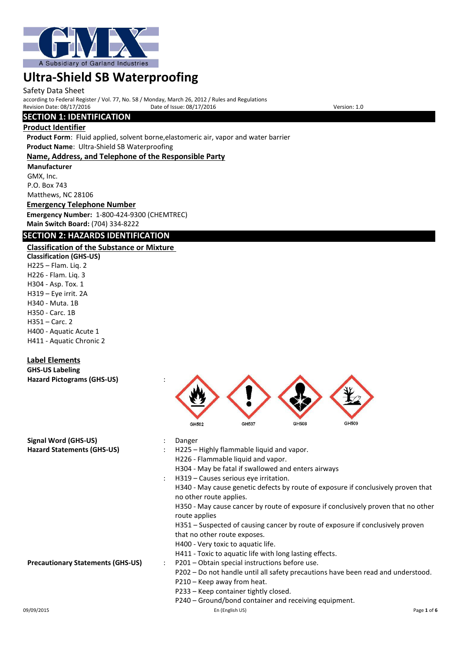

#### Safety Data Sheet

according to Federal Register / Vol. 77, No. 58 / Monday, March 26, 2012 / Rules and Regulations Revision Date: 08/17/2016 Date of Issue: 08/17/2016 Date of Issue: 08/17/2016 Version: 1.0

## **SECTION 1: IDENTIFICATION**

#### **Product Identifier**

**Product Form**: Fluid applied, solvent borne,elastomeric air, vapor and water barrier **Product Name**: Ultra-Shield SB Waterproofing

#### **Name, Address, and Telephone of the Responsible Party**

**Manufacturer** GMX, Inc. P.O. Box 743 Matthews, NC 28106

## **Emergency Telephone Number Emergency Number:** 1-800-424-9300 (CHEMTREC)

## **Main Switch Board:** (704) 334-8222

## **SECTION 2: HAZARDS IDENTIFICATION**

## **Classification of the Substance or Mixture**

**Classification (GHS-US)** H225 – Flam. Liq. 2 H226 - Flam. Liq. 3 H304 - Asp. Tox. 1 H319 – Eye irrit. 2A H340 - Muta. 1B H350 - Carc. 1B H351 – Carc. 2 H400 - Aquatic Acute 1 H411 - Aquatic Chronic 2

## **Label Elements**

**GHS-US Labeling Hazard Pictograms (GHS-US)** :



- H340 May cause genetic defects by route of exposure if conclusively proven that no other route applies.
- H350 May cause cancer by route of exposure if conclusively proven that no other route applies

H351 – Suspected of causing cancer by route of exposure if conclusively proven that no other route exposes.

- H400 Very toxic to aquatic life.
- H411 Toxic to aquatic life with long lasting effects.
- **Precautionary Statements (GHS-US)** : P201 Obtain special instructions before use.
	- P202 Do not handle until all safety precautions have been read and understood.
	- P210 Keep away from heat.
	- P233 Keep container tightly closed.
	- P240 Ground/bond container and receiving equipment.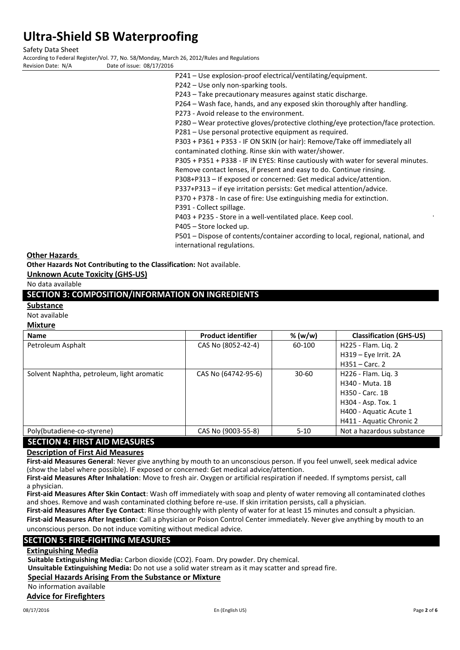Safety Data Sheet

According to Federal Register/Vol. 77, No. 58/Monday, March 26, 2012/Rules and Regulations Date of issue: 08/17/2016

- 
- - P241 Use explosion-proof electrical/ventilating/equipment.
	- P242 Use only non-sparking tools.
	- P243 Take precautionary measures against static discharge.
	- P264 Wash face, hands, and any exposed skin thoroughly after handling.
	- P273 Avoid release to the environment.
	- P280 Wear protective gloves/protective clothing/eye protection/face protection.
	- P281 Use personal protective equipment as required.
	- P303 + P361 + P353 IF ON SKIN (or hair): Remove/Take off immediately all contaminated clothing. Rinse skin with water/shower.
	- P305 + P351 + P338 IF IN EYES: Rinse cautiously with water for several minutes. Remove contact lenses, if present and easy to do. Continue rinsing.
		-
	- P308+P313 If exposed or concerned: Get medical advice/attention.
	- P337+P313 if eye irritation persists: Get medical attention/advice.
	- P370 + P378 In case of fire: Use extinguishing media for extinction.
	- P391 Collect spillage.

P403 + P235 - Store in a well-ventilated place. Keep cool.

- P405 Store locked up.
- P501 Dispose of contents/container according to local, regional, national, and international regulations.

#### **Other Hazards**

**Other Hazards Not Contributing to the Classification:** Not available.

#### **Unknown Acute Toxicity (GHS-US)**

No data available

## **SECTION 3: COMPOSITION/INFORMATION ON INGREDIENTS**

### **Substance**

Not available

#### **Mixture**

| <b>Name</b>                                | <b>Product identifier</b> | % $(w/w)$ | <b>Classification (GHS-US)</b> |
|--------------------------------------------|---------------------------|-----------|--------------------------------|
| Petroleum Asphalt                          | CAS No (8052-42-4)        | 60-100    | H225 - Flam. Lig. 2            |
|                                            |                           |           | H319 - Eye Irrit. 2A           |
|                                            |                           |           | $H351 - Carc. 2$               |
| Solvent Naphtha, petroleum, light aromatic | CAS No (64742-95-6)       | 30-60     | H226 - Flam. Lig. 3            |
|                                            |                           |           | H340 - Muta, 1B                |
|                                            |                           |           | H350 - Carc. 1B                |
|                                            |                           |           | H304 - Asp. Tox. 1             |
|                                            |                           |           | H400 - Aquatic Acute 1         |
|                                            |                           |           | H411 - Aquatic Chronic 2       |
| Poly(butadiene-co-styrene)                 | CAS No (9003-55-8)        | $5-10$    | Not a hazardous substance      |
|                                            |                           |           |                                |

## **SECTION 4: FIRST AID MEASURES**

## **Description of First Aid Measures**

**First-aid Measures General**: Never give anything by mouth to an unconscious person. If you feel unwell, seek medical advice (show the label where possible). IF exposed or concerned: Get medical advice/attention.

**First-aid Measures After Inhalation**: Move to fresh air. Oxygen or artificial respiration if needed. If symptoms persist, call a physician.

**First-aid Measures After Skin Contact**: Wash off immediately with soap and plenty of water removing all contaminated clothes and shoes. Remove and wash contaminated clothing before re-use. If skin irritation persists, call a physician.

**First-aid Measures After Eye Contact**: Rinse thoroughly with plenty of water for at least 15 minutes and consult a physician. **First-aid Measures After Ingestion**: Call a physician or Poison Control Center immediately. Never give anything by mouth to an

unconscious person. Do not induce vomiting without medical advice.

## **SECTION 5: FIRE-FIGHTING MEASURES**

## **Extinguishing Media**

**Suitable Extinguishing Media:** Carbon dioxide (CO2). Foam. Dry powder. Dry chemical.

**Unsuitable Extinguishing Media:** Do not use a solid water stream as it may scatter and spread fire.

## **Special Hazards Arising From the Substance or Mixture**

No information available

#### **Advice for Firefighters**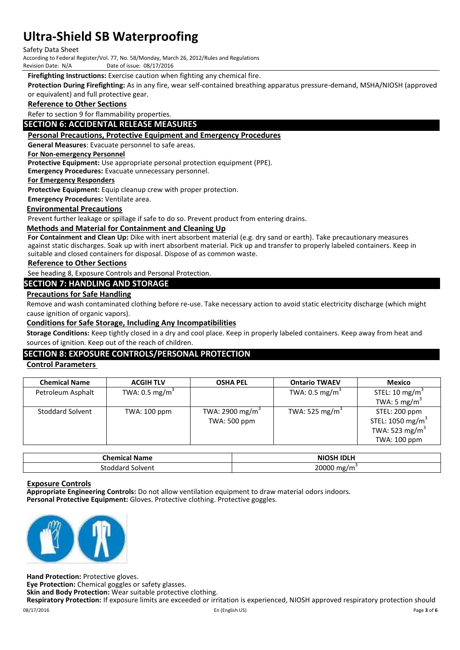#### Safety Data Sheet

According to Federal Register/Vol. 77, No. 58/Monday, March 26, 2012/Rules and Regulations<br>Revision Date: N/A<br>Date of issue: 08/17/2016

Date of issue: 08/17/2016

**Firefighting Instructions:** Exercise caution when fighting any chemical fire.

**Protection During Firefighting:** As in any fire, wear self-contained breathing apparatus pressure-demand, MSHA/NIOSH (approved or equivalent) and full protective gear.

#### **Reference to Other Sections**

Refer to section 9 for flammability properties.

#### **SECTION 6: ACCIDENTAL RELEASE MEASURES**

#### **Personal Precautions, Protective Equipment and Emergency Procedures**

**General Measures**: Evacuate personnel to safe areas.

#### **For Non-emergency Personnel**

**Protective Equipment:** Use appropriate personal protection equipment (PPE).

**Emergency Procedures:** Evacuate unnecessary personnel.

#### **For Emergency Responders**

**Protective Equipment:** Equip cleanup crew with proper protection.

**Emergency Procedures:** Ventilate area.

## **Environmental Precautions**

Prevent further leakage or spillage if safe to do so. Prevent product from entering drains.

#### **Methods and Material for Containment and Cleaning Up**

**For Containment and Clean Up:** Dike with inert absorbent material (e.g. dry sand or earth). Take precautionary measures against static discharges. Soak up with inert absorbent material. Pick up and transfer to properly labeled containers. Keep in suitable and closed containers for disposal. Dispose of as common waste.

#### **Reference to Other Sections**

See heading 8, Exposure Controls and Personal Protection.

#### **SECTION 7: HANDLING AND STORAGE**

#### **Precautions for Safe Handling**

Remove and wash contaminated clothing before re-use. Take necessary action to avoid static electricity discharge (which might cause ignition of organic vapors).

#### **Conditions for Safe Storage, Including Any Incompatibilities**

**Storage Conditions:** Keep tightly closed in a dry and cool place. Keep in properly labeled containers. Keep away from heat and sources of ignition. Keep out of the reach of children.

## **SECTION 8: EXPOSURE CONTROLS/PERSONAL PROTECTION**

#### **Control Parameters**

| <b>Chemical Name</b>    | <b>ACGIH TLV</b>          | <b>OSHA PEL</b>             | <b>Ontario TWAEV</b>       | Mexico                       |
|-------------------------|---------------------------|-----------------------------|----------------------------|------------------------------|
| Petroleum Asphalt       | TWA: $0.5 \text{ mg/m}^3$ |                             | TWA: $0.5 \text{ mg/m}^3$  | STEL: 10 mg/m <sup>3</sup>   |
|                         |                           |                             |                            | TWA: 5 mg/ $m3$              |
| <b>Stoddard Solvent</b> | TWA: 100 ppm              | TWA: 2900 mg/m <sup>3</sup> | TWA: 525 mg/m <sup>3</sup> | STEL: 200 ppm                |
|                         |                           | TWA: 500 ppm                |                            | STEL: 1050 mg/m <sup>3</sup> |
|                         |                           |                             |                            | TWA: 523 mg/m <sup>3</sup>   |
|                         |                           |                             |                            | TWA: 100 ppm                 |

| Chemical<br>' Name  | <b>NIOSH IDLH</b>     |
|---------------------|-----------------------|
| Solvent<br>Stoddaro | 20000<br>mg,<br>' ו ו |

#### **Exposure Controls**

**Appropriate Engineering Controls:** Do not allow ventilation equipment to draw material odors indoors. **Personal Protective Equipment:** Gloves. Protective clothing. Protective goggles.



**Hand Protection:** Protective gloves.

**Eye Protection:** Chemical goggles or safety glasses.

**Skin and Body Protection:** Wear suitable protective clothing.

**Respiratory Protection:** If exposure limits are exceeded or irritation is experienced, NIOSH approved respiratory protection should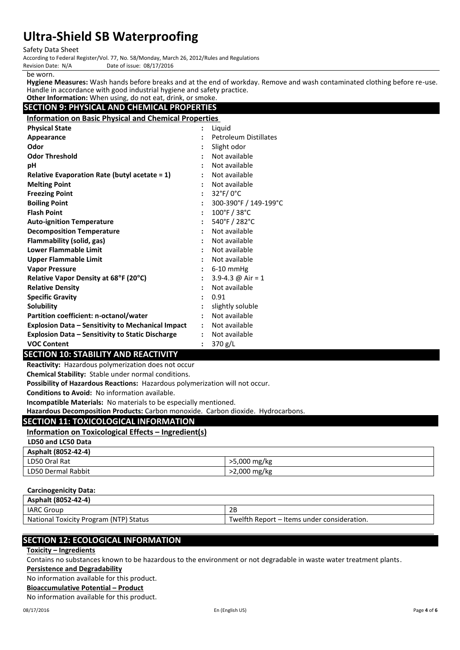Safety Data Sheet

According to Federal Register/Vol. 77, No. 58/Monday, March 26, 2012/Rules and Regulations Date of issue: 08/17/2016

be worn.

**Hygiene Measures:** Wash hands before breaks and at the end of workday. Remove and wash contaminated clothing before re-use. Handle in accordance with good industrial hygiene and safety practice.

 **Other Information:** When using, do not eat, drink, or smoke. **SECTION 9: PHYSICAL AND CHEMICAL PROPERTIES**

**Information on Basic Physical and Chemical Properties**

| <b>Physical State</b>                                    | $\ddot{\cdot}$       | Liquid                            |
|----------------------------------------------------------|----------------------|-----------------------------------|
| Appearance                                               |                      | <b>Petroleum Distillates</b>      |
| Odor                                                     |                      | Slight odor                       |
| <b>Odor Threshold</b>                                    |                      | Not available                     |
| рH                                                       |                      | Not available                     |
| <b>Relative Evaporation Rate (butyl acetate = 1)</b>     | $\ddot{\phantom{a}}$ | Not available                     |
| <b>Melting Point</b>                                     | $\ddot{\cdot}$       | Not available                     |
| <b>Freezing Point</b>                                    | $\ddot{\cdot}$       | $32^{\circ}$ F/0 $^{\circ}$ C     |
| <b>Boiling Point</b>                                     | $\ddot{\cdot}$       | 300-390°F / 149-199°C             |
| <b>Flash Point</b>                                       | $\ddot{\cdot}$       | $100^{\circ}$ F / 38 $^{\circ}$ C |
| <b>Auto-ignition Temperature</b>                         | $\ddot{\cdot}$       | 540°F / 282°C                     |
| <b>Decomposition Temperature</b>                         | $\ddot{\cdot}$       | Not available                     |
| Flammability (solid, gas)                                | $\ddot{\cdot}$       | Not available                     |
| <b>Lower Flammable Limit</b>                             | $\ddot{\phantom{a}}$ | Not available                     |
| <b>Upper Flammable Limit</b>                             |                      | Not available                     |
| <b>Vapor Pressure</b>                                    |                      | $6-10$ mmHg                       |
| Relative Vapor Density at 68°F (20°C)                    | $\ddot{\cdot}$       | 3.9-4.3 @ Air = 1                 |
| <b>Relative Density</b>                                  |                      | Not available                     |
| <b>Specific Gravity</b>                                  | $\ddot{\phantom{a}}$ | 0.91                              |
| <b>Solubility</b>                                        |                      | slightly soluble                  |
| Partition coefficient: n-octanol/water                   | $\ddot{\cdot}$       | Not available                     |
| <b>Explosion Data - Sensitivity to Mechanical Impact</b> | $\ddot{\phantom{a}}$ | Not available                     |
| <b>Explosion Data - Sensitivity to Static Discharge</b>  |                      | Not available                     |
| <b>VOC Content</b>                                       |                      | 370 g/L                           |

## **SECTION 10: STABILITY AND REACTIVITY**

**Reactivity:** Hazardous polymerization does not occur

**Chemical Stability:** Stable under normal conditions.

**Possibility of Hazardous Reactions:** Hazardous polymerization will not occur.

**Conditions to Avoid:** No information available.

**Incompatible Materials:** No materials to be especially mentioned.

**Hazardous Decomposition Products:** Carbon monoxide. Carbon dioxide. Hydrocarbons.

## **SECTION 11: TOXICOLOGICAL INFORMATION**

## **Information on Toxicological Effects – Ingredient(s)**

#### **LD50 and LC50 Data**

| Asphalt (8052-42-4) |              |
|---------------------|--------------|
| LD50 Oral Rat       | >5,000 mg/kg |
| LD50 Dermal Rabbit  | >2,000 mg/kg |

## **Carcinogenicity Data:**

| Asphalt (8052-42-4)                    |                                             |
|----------------------------------------|---------------------------------------------|
| <b>IARC Group</b>                      | 2Β                                          |
| National Toxicity Program (NTP) Status | Twelfth Report – Items under consideration. |

## **SECTION 12: ECOLOGICAL INFORMATION**

**Toxicity – Ingredients**

Contains no substances known to be hazardous to the environment or not degradable in waste water treatment plants.

#### **Persistence and Degradability**

No information available for this product.

**Bioaccumulative Potential – Product**

No information available for this product.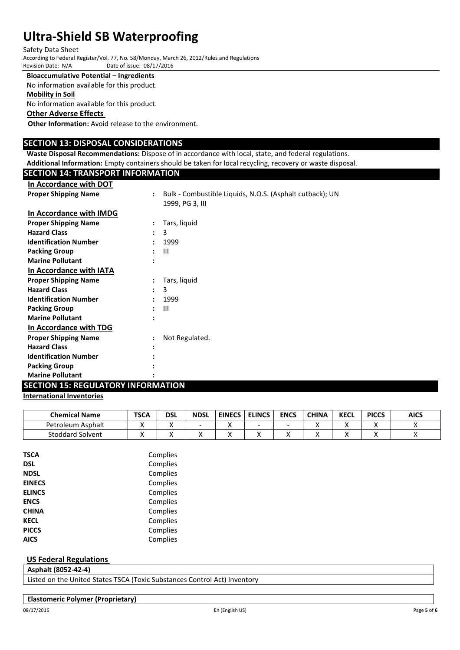Safety Data Sheet

According to Federal Register/Vol. 77, No. 58/Monday, March 26, 2012/Rules and Regulations Date of issue: 08/17/2016

#### **Bioaccumulative Potential – Ingredients**

No information available for this product.

#### **Mobility in Soil**

No information available for this product.

#### **Other Adverse Effects**

**Other Information:** Avoid release to the environment.

## **SECTION 13: DISPOSAL CONSIDERATIONS**

**Waste Disposal Recommendations:** Dispose of in accordance with local, state, and federal regulations. **Additional Information:** Empty containers should be taken for local recycling, recovery or waste disposal.

## **SECTION 14: TRANSPORT INFORMATION**

| In Accordance with DOT       |                                                                            |  |
|------------------------------|----------------------------------------------------------------------------|--|
| <b>Proper Shipping Name</b>  | Bulk - Combustible Liquids, N.O.S. (Asphalt cutback); UN<br>$\ddot{\cdot}$ |  |
|                              | 1999, PG 3, III                                                            |  |
| In Accordance with IMDG      |                                                                            |  |
| <b>Proper Shipping Name</b>  | Tars, liquid                                                               |  |
| <b>Hazard Class</b>          | 3                                                                          |  |
| <b>Identification Number</b> | 1999<br>٠                                                                  |  |
| <b>Packing Group</b>         | $\mathbf{III}$                                                             |  |
| <b>Marine Pollutant</b>      |                                                                            |  |
| In Accordance with IATA      |                                                                            |  |
| <b>Proper Shipping Name</b>  | Tars, liquid                                                               |  |
| <b>Hazard Class</b>          | 3<br>$\ddot{\phantom{a}}$                                                  |  |
| <b>Identification Number</b> | 1999                                                                       |  |
| <b>Packing Group</b>         | Ш                                                                          |  |
| <b>Marine Pollutant</b>      |                                                                            |  |
| In Accordance with TDG       |                                                                            |  |
| <b>Proper Shipping Name</b>  | Not Regulated.<br>$\ddot{\cdot}$                                           |  |
| <b>Hazard Class</b>          |                                                                            |  |
| <b>Identification Number</b> |                                                                            |  |
| <b>Packing Group</b>         |                                                                            |  |
| <b>Marine Pollutant</b>      |                                                                            |  |

## **SECTION 15: REGULATORY INFORMATION**

## **International Inventories**

| <b>Chemical Name</b>    | <b>TSCA</b> | dsl | <b>NDSL</b> | <b>EINECS</b> | <b>ELINCS</b> | <b>ENCS</b> | <b>CHINA</b> | <b>KECL</b> | <b>PICCS</b> | <b>AICS</b>              |
|-------------------------|-------------|-----|-------------|---------------|---------------|-------------|--------------|-------------|--------------|--------------------------|
| Petroleum Asphalt       | ,,          | ↗   |             |               |               |             |              |             |              |                          |
| <b>Stoddard Solvent</b> |             | '   | ↗           |               |               |             |              |             |              | $\overline{\phantom{a}}$ |

| TSCA          | Complies |
|---------------|----------|
| <b>DSL</b>    | Complies |
| <b>NDSL</b>   | Complies |
| <b>EINECS</b> | Complies |
| <b>ELINCS</b> | Complies |
| <b>ENCS</b>   | Complies |
| <b>CHINA</b>  | Complies |
| <b>KECL</b>   | Complies |
| <b>PICCS</b>  | Complies |
| AICS          | Complies |

## **US Federal Regulations**

## **Asphalt (8052-42-4)**

Listed on the United States TSCA (Toxic Substances Control Act) Inventory

#### **Elastomeric Polymer (Proprietary)**